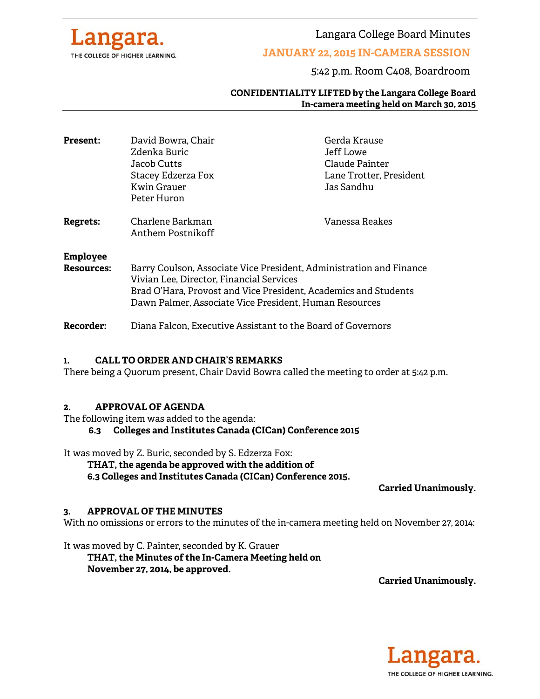

Langara College Board Minutes

## **JANUARY 22, 2015 IN-CAMERA SESSION**

5:42 p.m. Room C408, Boardroom

#### **CONFIDENTIALITY LIFTED by the Langara College Board In-camera meeting held on March 30, 2015**

| <b>Present:</b>               | David Bowra, Chair<br>Zdenka Buric<br>Jacob Cutts<br>Stacey Edzerza Fox<br>Kwin Grauer<br>Peter Huron                                                                                                                                        | Gerda Krause<br>Jeff Lowe<br>Claude Painter<br>Lane Trotter, President<br>Jas Sandhu |
|-------------------------------|----------------------------------------------------------------------------------------------------------------------------------------------------------------------------------------------------------------------------------------------|--------------------------------------------------------------------------------------|
| Regrets:                      | Charlene Barkman<br>Anthem Postnikoff                                                                                                                                                                                                        | Vanessa Reakes                                                                       |
| <b>Employee</b><br>Resources: | Barry Coulson, Associate Vice President, Administration and Finance<br>Vivian Lee, Director, Financial Services<br>Brad O'Hara, Provost and Vice President, Academics and Students<br>Dawn Palmer, Associate Vice President, Human Resources |                                                                                      |

**Recorder:** Diana Falcon, Executive Assistant to the Board of Governors

#### **1. CALL TO ORDER AND CHAIR'S REMARKS**

There being a Quorum present, Chair David Bowra called the meeting to order at 5:42 p.m.

#### **2. APPROVAL OF AGENDA**

The following item was added to the agenda:

#### **6.3 Colleges and Institutes Canada (CICan) Conference 2015**

It was moved by Z. Buric, seconded by S. Edzerza Fox:

**THAT, the agenda be approved with the addition of** 

**6.3 Colleges and Institutes Canada (CICan) Conference 2015.** 

**Carried Unanimously.**

#### **3. APPROVAL OF THE MINUTES**

With no omissions or errors to the minutes of the in-camera meeting held on November 27, 2014:

It was moved by C. Painter, seconded by K. Grauer  **THAT, the Minutes of the In-Camera Meeting held on November 27, 2014, be approved.** 

**Carried Unanimously.** 

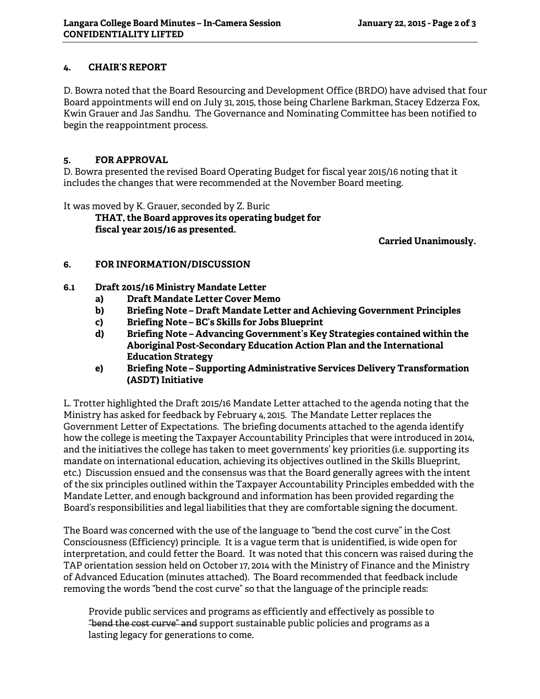### **4. CHAIR'S REPORT**

D. Bowra noted that the Board Resourcing and Development Office (BRDO) have advised that four Board appointments will end on July 31, 2015, those being Charlene Barkman, Stacey Edzerza Fox, Kwin Grauer and Jas Sandhu. The Governance and Nominating Committee has been notified to begin the reappointment process.

### **5. FOR APPROVAL**

D. Bowra presented the revised Board Operating Budget for fiscal year 2015/16 noting that it includes the changes that were recommended at the November Board meeting.

It was moved by K. Grauer, seconded by Z. Buric

 **THAT, the Board approves its operating budget for fiscal year 2015/16 as presented.** 

**Carried Unanimously.** 

## **6. FOR INFORMATION/DISCUSSION**

- **6.1 Draft 2015/16 Ministry Mandate Letter** 
	- **a) Draft Mandate Letter Cover Memo**
	- **b) Briefing Note Draft Mandate Letter and Achieving Government Principles**
	- **c) Briefing Note BC's Skills for Jobs Blueprint**
	- **d) Briefing Note Advancing Government's Key Strategies contained within the Aboriginal Post-Secondary Education Action Plan and the International Education Strategy**
	- **e) Briefing Note Supporting Administrative Services Delivery Transformation (ASDT) Initiative**

L. Trotter highlighted the Draft 2015/16 Mandate Letter attached to the agenda noting that the Ministry has asked for feedback by February 4, 2015. The Mandate Letter replaces the Government Letter of Expectations. The briefing documents attached to the agenda identify how the college is meeting the Taxpayer Accountability Principles that were introduced in 2014, and the initiatives the college has taken to meet governments' key priorities (i.e. supporting its mandate on international education, achieving its objectives outlined in the Skills Blueprint, etc.) Discussion ensued and the consensus was that the Board generally agrees with the intent of the six principles outlined within the Taxpayer Accountability Principles embedded with the Mandate Letter, and enough background and information has been provided regarding the Board's responsibilities and legal liabilities that they are comfortable signing the document.

The Board was concerned with the use of the language to "bend the cost curve" in the Cost Consciousness (Efficiency) principle. It is a vague term that is unidentified, is wide open for interpretation, and could fetter the Board. It was noted that this concern was raised during the TAP orientation session held on October 17, 2014 with the Ministry of Finance and the Ministry of Advanced Education (minutes attached). The Board recommended that feedback include removing the words "bend the cost curve" so that the language of the principle reads:

Provide public services and programs as efficiently and effectively as possible to "bend the cost curve" and support sustainable public policies and programs as a lasting legacy for generations to come.